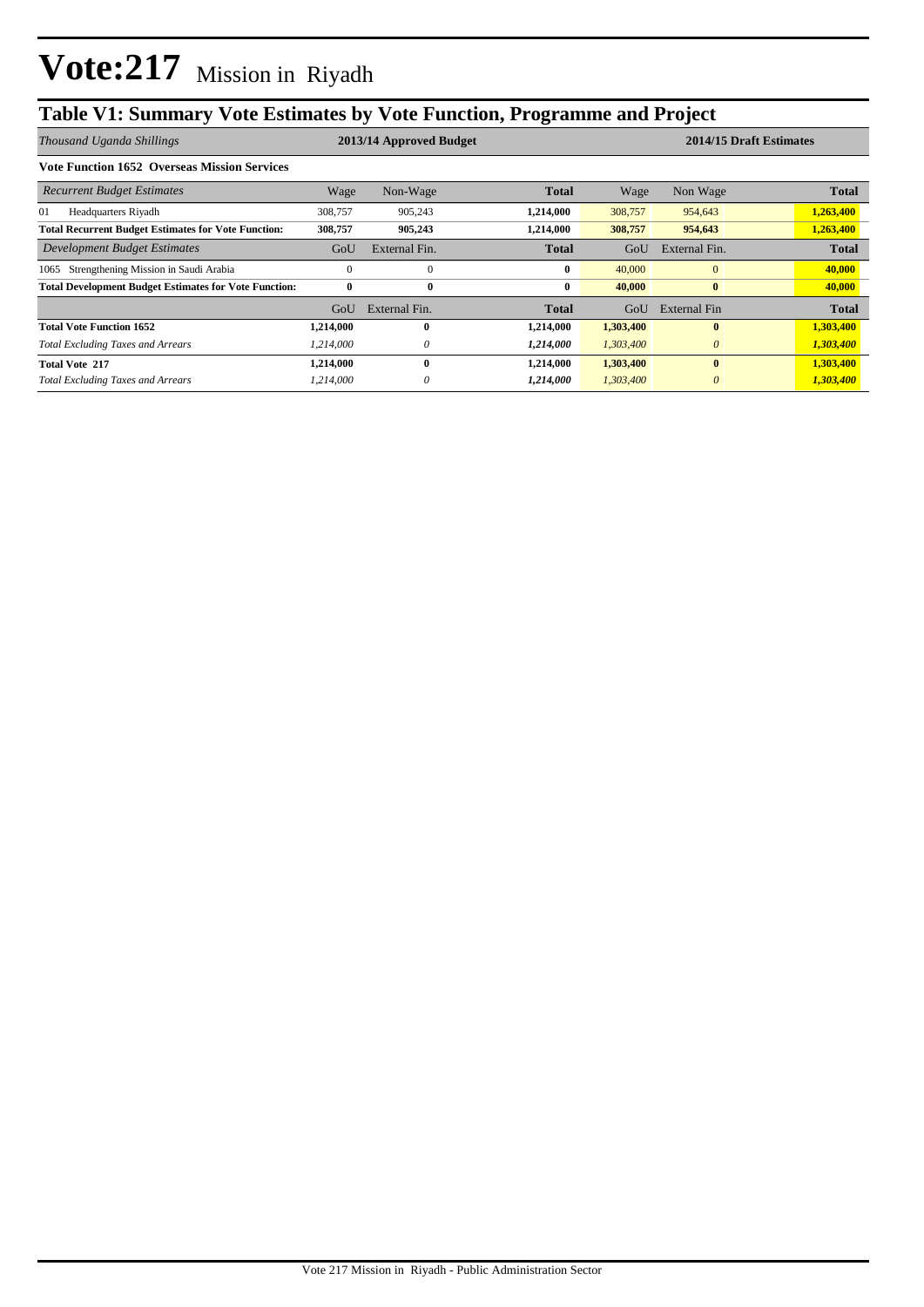## **Table V1: Summary Vote Estimates by Vote Function, Programme and Project**

| Thousand Uganda Shillings                                    |           | 2013/14 Approved Budget |              |           | 2014/15 Draft Estimates |              |  |
|--------------------------------------------------------------|-----------|-------------------------|--------------|-----------|-------------------------|--------------|--|
| <b>Vote Function 1652 Overseas Mission Services</b>          |           |                         |              |           |                         |              |  |
| <b>Recurrent Budget Estimates</b>                            | Wage      | Non-Wage                | <b>Total</b> | Wage      | Non Wage                | <b>Total</b> |  |
| 01<br>Headquarters Riyadh                                    | 308,757   | 905,243                 | 1,214,000    | 308,757   | 954,643                 | 1,263,400    |  |
| <b>Total Recurrent Budget Estimates for Vote Function:</b>   | 308,757   | 905,243                 | 1,214,000    | 308,757   | 954,643                 | 1,263,400    |  |
| Development Budget Estimates                                 | GoU       | External Fin.           | Total        | GoU       | External Fin.           | <b>Total</b> |  |
| Strengthening Mission in Saudi Arabia<br>1065                | $\Omega$  | $\Omega$                | 0            | 40,000    | $\overline{0}$          | 40,000       |  |
| <b>Total Development Budget Estimates for Vote Function:</b> | $\bf{0}$  | $\bf{0}$                | 0            | 40,000    | $\bf{0}$                | 40,000       |  |
|                                                              | GoU       | External Fin.           | Total        | GoU       | External Fin            | <b>Total</b> |  |
| <b>Total Vote Function 1652</b>                              | 1,214,000 | 0                       | 1,214,000    | 1,303,400 | $\mathbf{0}$            | 1,303,400    |  |
| <b>Total Excluding Taxes and Arrears</b>                     | 1.214.000 | 0                       | 1,214,000    | 1,303,400 | $\theta$                | 1,303,400    |  |
| <b>Total Vote 217</b>                                        | 1,214,000 | 0                       | 1,214,000    | 1,303,400 | $\mathbf{0}$            | 1,303,400    |  |
| <b>Total Excluding Taxes and Arrears</b>                     | 1,214,000 |                         | 1,214,000    | 1,303,400 | $\theta$                | 1,303,400    |  |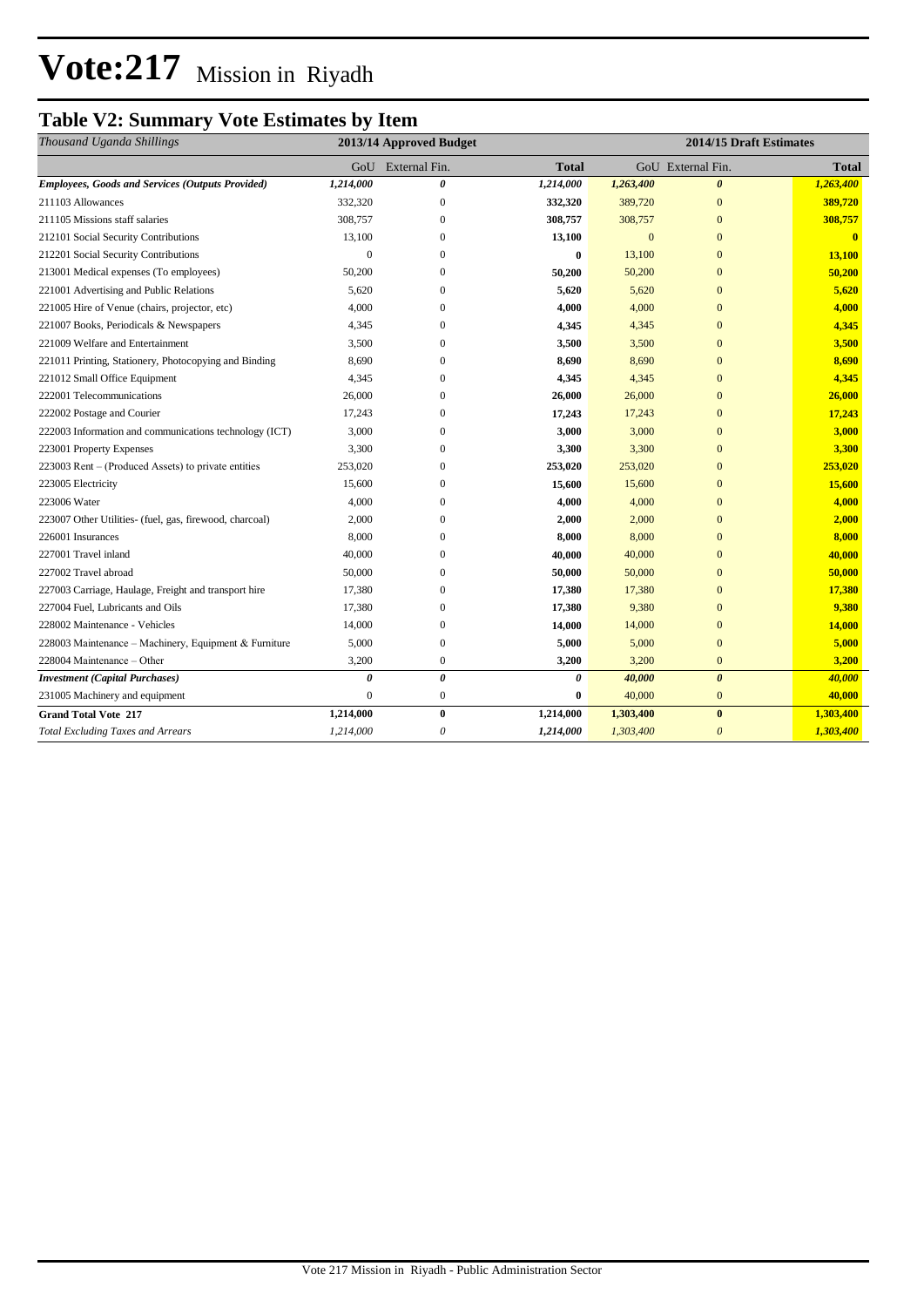# **Vote:217** Mission in Riyadh

## **Table V2: Summary Vote Estimates by Item**

| Thousand Uganda Shillings                               | 2013/14 Approved Budget |                       |              | 2014/15 Draft Estimates |                       |                         |  |
|---------------------------------------------------------|-------------------------|-----------------------|--------------|-------------------------|-----------------------|-------------------------|--|
|                                                         | GoU                     | External Fin.         | <b>Total</b> |                         | GoU External Fin.     | <b>Total</b>            |  |
| <b>Employees, Goods and Services (Outputs Provided)</b> | 1,214,000               | 0                     | 1,214,000    | 1,263,400               | $\boldsymbol{\theta}$ | 1,263,400               |  |
| 211103 Allowances                                       | 332,320                 | $\mathbf{0}$          | 332,320      | 389,720                 | $\overline{0}$        | 389,720                 |  |
| 211105 Missions staff salaries                          | 308,757                 | $\mathbf{0}$          | 308,757      | 308,757                 | $\overline{0}$        | 308,757                 |  |
| 212101 Social Security Contributions                    | 13,100                  | $\mathbf{0}$          | 13,100       | $\mathbf{0}$            | $\overline{0}$        | $\overline{\mathbf{0}}$ |  |
| 212201 Social Security Contributions                    | $\Omega$                | $\Omega$              | $\bf{0}$     | 13,100                  | $\overline{0}$        | 13,100                  |  |
| 213001 Medical expenses (To employees)                  | 50,200                  | $\mathbf{0}$          | 50,200       | 50,200                  | $\overline{0}$        | 50,200                  |  |
| 221001 Advertising and Public Relations                 | 5,620                   | $\mathbf{0}$          | 5,620        | 5,620                   | $\overline{0}$        | 5,620                   |  |
| 221005 Hire of Venue (chairs, projector, etc)           | 4,000                   | $\boldsymbol{0}$      | 4,000        | 4,000                   | $\overline{0}$        | 4,000                   |  |
| 221007 Books, Periodicals & Newspapers                  | 4,345                   | $\boldsymbol{0}$      | 4,345        | 4,345                   | $\mathbf{0}$          | 4,345                   |  |
| 221009 Welfare and Entertainment                        | 3,500                   | $\mathbf{0}$          | 3,500        | 3,500                   | $\overline{0}$        | 3,500                   |  |
| 221011 Printing, Stationery, Photocopying and Binding   | 8,690                   | $\mathbf{0}$          | 8,690        | 8,690                   | $\overline{0}$        | 8,690                   |  |
| 221012 Small Office Equipment                           | 4,345                   | $\mathbf{0}$          | 4,345        | 4,345                   | $\overline{0}$        | 4,345                   |  |
| 222001 Telecommunications                               | 26,000                  | $\mathbf{0}$          | 26,000       | 26,000                  | $\overline{0}$        | 26,000                  |  |
| 222002 Postage and Courier                              | 17,243                  | $\mathbf{0}$          | 17,243       | 17,243                  | $\overline{0}$        | 17,243                  |  |
| 222003 Information and communications technology (ICT)  | 3,000                   | $\mathbf{0}$          | 3,000        | 3,000                   | $\overline{0}$        | 3,000                   |  |
| 223001 Property Expenses                                | 3,300                   | $\mathbf{0}$          | 3,300        | 3,300                   | $\overline{0}$        | 3,300                   |  |
| 223003 Rent - (Produced Assets) to private entities     | 253,020                 | $\mathbf{0}$          | 253,020      | 253,020                 | $\overline{0}$        | 253,020                 |  |
| 223005 Electricity                                      | 15,600                  | $\mathbf{0}$          | 15,600       | 15,600                  | $\overline{0}$        | 15,600                  |  |
| 223006 Water                                            | 4,000                   | $\mathbf{0}$          | 4,000        | 4,000                   | $\overline{0}$        | 4,000                   |  |
| 223007 Other Utilities- (fuel, gas, firewood, charcoal) | 2,000                   | $\boldsymbol{0}$      | 2,000        | 2,000                   | $\overline{0}$        | 2,000                   |  |
| 226001 Insurances                                       | 8,000                   | $\mathbf{0}$          | 8,000        | 8,000                   | $\overline{0}$        | 8,000                   |  |
| 227001 Travel inland                                    | 40,000                  | $\mathbf{0}$          | 40,000       | 40,000                  | $\overline{0}$        | 40,000                  |  |
| 227002 Travel abroad                                    | 50,000                  | $\mathbf{0}$          | 50,000       | 50,000                  | $\overline{0}$        | 50,000                  |  |
| 227003 Carriage, Haulage, Freight and transport hire    | 17,380                  | $\mathbf{0}$          | 17,380       | 17,380                  | $\overline{0}$        | 17,380                  |  |
| 227004 Fuel, Lubricants and Oils                        | 17,380                  | $\mathbf{0}$          | 17,380       | 9,380                   | $\overline{0}$        | 9,380                   |  |
| 228002 Maintenance - Vehicles                           | 14,000                  | $\mathbf{0}$          | 14,000       | 14,000                  | $\overline{0}$        | 14,000                  |  |
| 228003 Maintenance - Machinery, Equipment & Furniture   | 5,000                   | $\boldsymbol{0}$      | 5,000        | 5,000                   | $\overline{0}$        | 5,000                   |  |
| 228004 Maintenance - Other                              | 3,200                   | $\boldsymbol{0}$      | 3,200        | 3,200                   | $\boldsymbol{0}$      | 3,200                   |  |
| <b>Investment</b> (Capital Purchases)                   | 0                       | $\boldsymbol{\theta}$ | 0            | 40,000                  | $\boldsymbol{\theta}$ | 40,000                  |  |
| 231005 Machinery and equipment                          | $\mathbf{0}$            | $\mathbf{0}$          | $\bf{0}$     | 40,000                  | $\boldsymbol{0}$      | 40,000                  |  |
| <b>Grand Total Vote 217</b>                             | 1,214,000               | $\bf{0}$              | 1,214,000    | 1,303,400               | $\bf{0}$              | 1,303,400               |  |
| <b>Total Excluding Taxes and Arrears</b>                | 1,214,000               | $\theta$              | 1,214,000    | 1,303,400               | $\theta$              | 1,303,400               |  |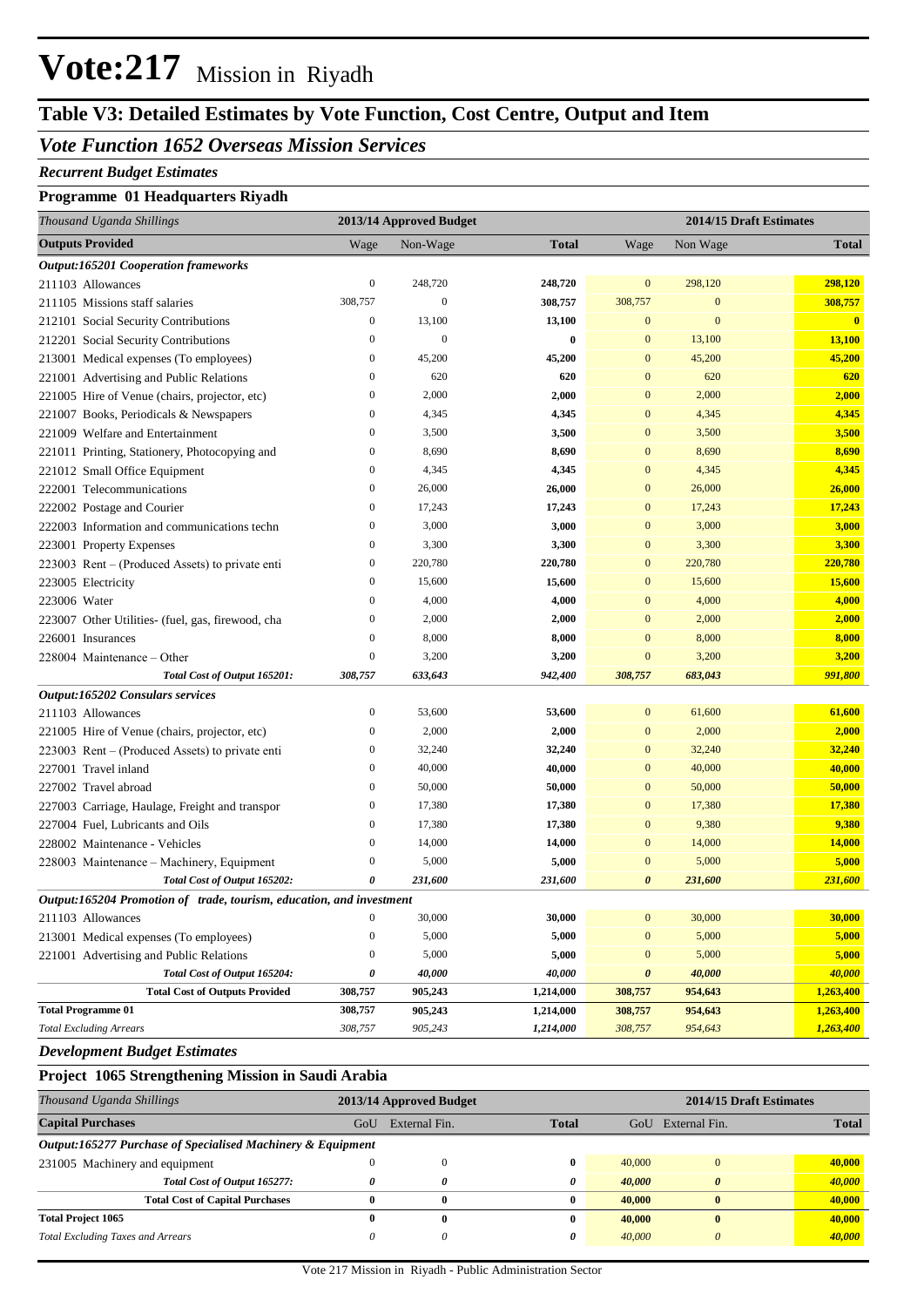## **Vote:217** Mission in Riyadh

### **Table V3: Detailed Estimates by Vote Function, Cost Centre, Output and Item**

#### *Vote Function 1652 Overseas Mission Services*

#### *Recurrent Budget Estimates*

#### **Programme 01 Headquarters Riyadh**

|              | Thousand Uganda Shillings                                            | 2013/14 Approved Budget |                  |              | 2014/15 Draft Estimates |                  |                         |
|--------------|----------------------------------------------------------------------|-------------------------|------------------|--------------|-------------------------|------------------|-------------------------|
|              | <b>Outputs Provided</b>                                              | Wage                    | Non-Wage         | <b>Total</b> | Wage                    | Non Wage         | <b>Total</b>            |
|              | <b>Output:165201 Cooperation frameworks</b>                          |                         |                  |              |                         |                  |                         |
|              | 211103 Allowances                                                    | $\boldsymbol{0}$        | 248,720          | 248,720      | $\mathbf{0}$            | 298,120          | 298,120                 |
|              | 211105 Missions staff salaries                                       | 308,757                 | $\boldsymbol{0}$ | 308,757      | 308,757                 | $\boldsymbol{0}$ | 308,757                 |
|              | 212101 Social Security Contributions                                 | $\boldsymbol{0}$        | 13,100           | 13,100       | $\mathbf{0}$            | $\mathbf{0}$     | $\overline{\mathbf{0}}$ |
|              | 212201 Social Security Contributions                                 | $\boldsymbol{0}$        | $\mathbf{0}$     | $\bf{0}$     | $\mathbf{0}$            | 13,100           | 13,100                  |
|              | 213001 Medical expenses (To employees)                               | $\boldsymbol{0}$        | 45,200           | 45,200       | $\mathbf{0}$            | 45,200           | 45,200                  |
|              | 221001 Advertising and Public Relations                              | $\boldsymbol{0}$        | 620              | 620          | $\mathbf{0}$            | 620              | 620                     |
|              | 221005 Hire of Venue (chairs, projector, etc)                        | $\boldsymbol{0}$        | 2,000            | 2,000        | $\mathbf{0}$            | 2,000            | 2,000                   |
|              | 221007 Books, Periodicals & Newspapers                               | $\boldsymbol{0}$        | 4,345            | 4,345        | $\mathbf{0}$            | 4,345            | 4,345                   |
|              | 221009 Welfare and Entertainment                                     | $\boldsymbol{0}$        | 3,500            | 3,500        | $\mathbf{0}$            | 3,500            | 3,500                   |
|              | 221011 Printing, Stationery, Photocopying and                        | $\boldsymbol{0}$        | 8,690            | 8,690        | $\mathbf{0}$            | 8,690            | 8,690                   |
|              | 221012 Small Office Equipment                                        | $\boldsymbol{0}$        | 4,345            | 4,345        | $\mathbf{0}$            | 4,345            | 4,345                   |
|              | 222001 Telecommunications                                            | $\boldsymbol{0}$        | 26,000           | 26,000       | $\mathbf{0}$            | 26,000           | 26,000                  |
|              | 222002 Postage and Courier                                           | $\boldsymbol{0}$        | 17,243           | 17,243       | $\mathbf{0}$            | 17,243           | 17,243                  |
|              | 222003 Information and communications techn                          | $\boldsymbol{0}$        | 3,000            | 3,000        | $\mathbf{0}$            | 3,000            | 3,000                   |
|              | 223001 Property Expenses                                             | $\boldsymbol{0}$        | 3,300            | 3,300        | $\mathbf{0}$            | 3,300            | 3,300                   |
|              | 223003 Rent – (Produced Assets) to private enti                      | $\boldsymbol{0}$        | 220,780          | 220,780      | $\mathbf{0}$            | 220,780          | 220,780                 |
|              | 223005 Electricity                                                   | $\boldsymbol{0}$        | 15,600           | 15,600       | $\mathbf{0}$            | 15,600           | 15,600                  |
| 223006 Water |                                                                      | $\boldsymbol{0}$        | 4,000            | 4,000        | $\mathbf{0}$            | 4,000            | 4,000                   |
|              | 223007 Other Utilities- (fuel, gas, firewood, cha                    | $\boldsymbol{0}$        | 2,000            | 2,000        | $\mathbf{0}$            | 2,000            | 2,000                   |
|              | 226001 Insurances                                                    | $\mathbf{0}$            | 8,000            | 8,000        | $\mathbf{0}$            | 8,000            | 8,000                   |
|              | 228004 Maintenance – Other                                           | $\mathbf{0}$            | 3,200            | 3,200        | $\mathbf{0}$            | 3,200            | 3,200                   |
|              | Total Cost of Output 165201:                                         | 308,757                 | 633,643          | 942,400      | 308,757                 | 683,043          | 991,800                 |
|              | Output:165202 Consulars services                                     |                         |                  |              |                         |                  |                         |
|              | 211103 Allowances                                                    | $\boldsymbol{0}$        | 53,600           | 53,600       | $\mathbf{0}$            | 61,600           | 61,600                  |
|              | 221005 Hire of Venue (chairs, projector, etc)                        | $\boldsymbol{0}$        | 2,000            | 2,000        | $\mathbf{0}$            | 2,000            | 2,000                   |
|              | 223003 Rent – (Produced Assets) to private enti                      | $\boldsymbol{0}$        | 32,240           | 32,240       | $\mathbf{0}$            | 32,240           | 32,240                  |
|              | 227001 Travel inland                                                 | $\boldsymbol{0}$        | 40,000           | 40,000       | $\mathbf{0}$            | 40,000           | 40,000                  |
|              | 227002 Travel abroad                                                 | $\boldsymbol{0}$        | 50,000           | 50,000       | $\mathbf{0}$            | 50,000           | 50,000                  |
|              | 227003 Carriage, Haulage, Freight and transpor                       | $\boldsymbol{0}$        | 17,380           | 17,380       | $\mathbf{0}$            | 17,380           | 17,380                  |
|              | 227004 Fuel, Lubricants and Oils                                     | $\boldsymbol{0}$        | 17,380           | 17,380       | $\mathbf{0}$            | 9,380            | 9,380                   |
|              | 228002 Maintenance - Vehicles                                        | $\boldsymbol{0}$        | 14,000           | 14,000       | $\mathbf{0}$            | 14,000           | 14,000                  |
|              | 228003 Maintenance – Machinery, Equipment                            | $\boldsymbol{0}$        | 5,000            | 5,000        | $\boldsymbol{0}$        | 5,000            | 5,000                   |
|              | Total Cost of Output 165202:                                         | 0                       | 231,600          | 231,600      | $\boldsymbol{\theta}$   | 231,600          | 231,600                 |
|              | Output:165204 Promotion of trade, tourism, education, and investment |                         |                  |              |                         |                  |                         |
|              | 211103 Allowances                                                    | $\boldsymbol{0}$        | 30,000           | 30,000       | $\boldsymbol{0}$        | 30,000           | 30,000                  |
|              | 213001 Medical expenses (To employees)                               | $\boldsymbol{0}$        | 5,000            | 5,000        | $\boldsymbol{0}$        | 5,000            | 5,000                   |
|              | 221001 Advertising and Public Relations                              | $\boldsymbol{0}$        | 5,000            | 5,000        | $\mathbf{0}$            | 5,000            | 5,000                   |
|              | Total Cost of Output 165204:                                         | 0                       | 40,000           | 40,000       | $\boldsymbol{\theta}$   | 40,000           | 40,000                  |
|              | <b>Total Cost of Outputs Provided</b>                                | 308,757                 | 905,243          | 1,214,000    | 308,757                 | 954,643          | 1,263,400               |
|              | <b>Total Programme 01</b>                                            | 308,757                 | 905,243          | 1,214,000    | 308,757                 | 954,643          | 1,263,400               |
|              | <b>Total Excluding Arrears</b>                                       | 308,757                 | 905,243          | 1,214,000    | 308,757                 | 954,643          | 1,263,400               |

#### *Development Budget Estimates*

#### **Project 1065 Strengthening Mission in Saudi Arabia**

| Thousand Uganda Shillings                                   |     | 2014/15 Draft Estimates<br>2013/14 Approved Budget |              |        |               |              |
|-------------------------------------------------------------|-----|----------------------------------------------------|--------------|--------|---------------|--------------|
| <b>Capital Purchases</b>                                    | GoU | External Fin.                                      | <b>Total</b> | GoU    | External Fin. | <b>Total</b> |
| Output:165277 Purchase of Specialised Machinery & Equipment |     |                                                    |              |        |               |              |
| 231005 Machinery and equipment                              |     |                                                    | 0            | 40,000 |               | 40,000       |
| Total Cost of Output 165277:                                |     |                                                    | 0            | 40,000 |               | 40,000       |
| <b>Total Cost of Capital Purchases</b>                      |     | 0                                                  | 0            | 40.000 |               | 40,000       |
| <b>Total Project 1065</b>                                   |     |                                                    | 0            | 40,000 | $\bf{0}$      | 40,000       |
| <b>Total Excluding Taxes and Arrears</b>                    |     |                                                    | 0            | 40,000 |               | 40,000       |